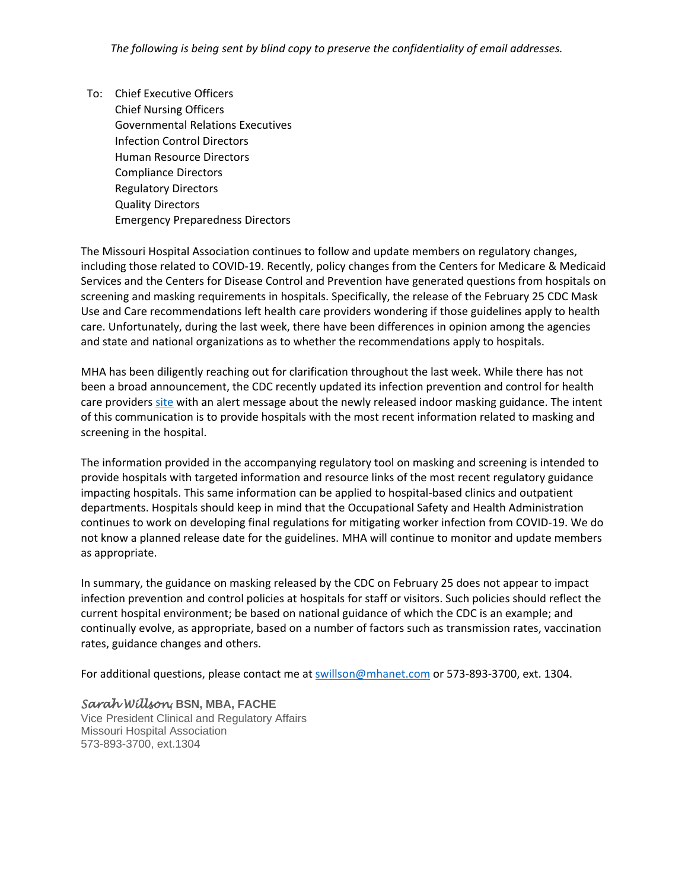To: Chief Executive Officers Chief Nursing Officers Governmental Relations Executives Infection Control Directors Human Resource Directors Compliance Directors Regulatory Directors Quality Directors Emergency Preparedness Directors

The Missouri Hospital Association continues to follow and update members on regulatory changes, including those related to COVID-19. Recently, policy changes from the Centers for Medicare & Medicaid Services and the Centers for Disease Control and Prevention have generated questions from hospitals on screening and masking requirements in hospitals. Specifically, the release of the February 25 CDC Mask Use and Care recommendations left health care providers wondering if those guidelines apply to health care. Unfortunately, during the last week, there have been differences in opinion among the agencies and state and national organizations as to whether the recommendations apply to hospitals.

MHA has been diligently reaching out for clarification throughout the last week. While there has not been a broad announcement, the CDC recently updated its infection prevention and control for health care providers [site](https://www.cdc.gov/coronavirus/2019-ncov/hcp/infection-control-recommendations.html) with an alert message about the newly released indoor masking guidance. The intent of this communication is to provide hospitals with the most recent information related to masking and screening in the hospital.

The information provided in the accompanying regulatory tool on masking and screening is intended to provide hospitals with targeted information and resource links of the most recent regulatory guidance impacting hospitals. This same information can be applied to hospital-based clinics and outpatient departments. Hospitals should keep in mind that the Occupational Safety and Health Administration continues to work on developing final regulations for mitigating worker infection from COVID-19. We do not know a planned release date for the guidelines. MHA will continue to monitor and update members as appropriate.

In summary, the guidance on masking released by the CDC on February 25 does not appear to impact infection prevention and control policies at hospitals for staff or visitors. Such policies should reflect the current hospital environment; be based on national guidance of which the CDC is an example; and continually evolve, as appropriate, based on a number of factors such as transmission rates, vaccination rates, guidance changes and others.

For additional questions, please contact me at [swillson@mhanet.com](mailto:swillson@mhanet.com) or 573-893-3700, ext. 1304.

*Sarah Willson***, BSN, MBA, FACHE** Vice President Clinical and Regulatory Affairs Missouri Hospital Association 573-893-3700, ext.1304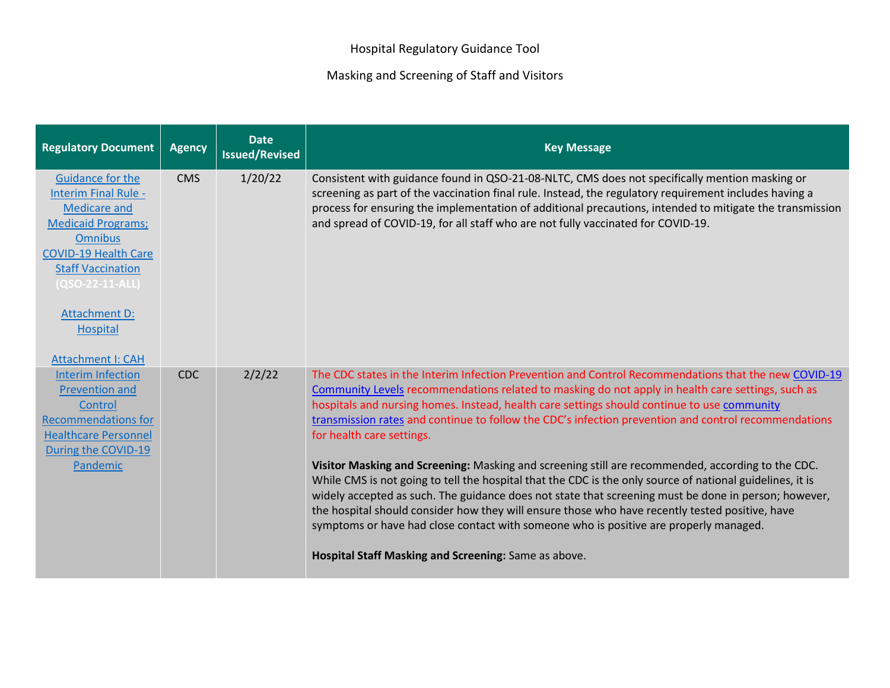## Masking and Screening of Staff and Visitors

| <b>Regulatory Document</b>                                                                                                                                                                                                                                                 | <b>Agency</b> | <b>Date</b><br><b>Issued/Revised</b> | <b>Key Message</b>                                                                                                                                                                                                                                                                                                                                                                                                                                                                                                                                                                                                                                                                                                                                                                                                                                                                                                                                                                                                          |
|----------------------------------------------------------------------------------------------------------------------------------------------------------------------------------------------------------------------------------------------------------------------------|---------------|--------------------------------------|-----------------------------------------------------------------------------------------------------------------------------------------------------------------------------------------------------------------------------------------------------------------------------------------------------------------------------------------------------------------------------------------------------------------------------------------------------------------------------------------------------------------------------------------------------------------------------------------------------------------------------------------------------------------------------------------------------------------------------------------------------------------------------------------------------------------------------------------------------------------------------------------------------------------------------------------------------------------------------------------------------------------------------|
| <b>Guidance for the</b><br>Interim Final Rule -<br><b>Medicare and</b><br><b>Medicaid Programs;</b><br><b>Omnibus</b><br><b>COVID-19 Health Care</b><br><b>Staff Vaccination</b><br>(QSO-22-11-ALL)<br><b>Attachment D:</b><br><b>Hospital</b><br><b>Attachment I: CAH</b> | <b>CMS</b>    | 1/20/22                              | Consistent with guidance found in QSO-21-08-NLTC, CMS does not specifically mention masking or<br>screening as part of the vaccination final rule. Instead, the regulatory requirement includes having a<br>process for ensuring the implementation of additional precautions, intended to mitigate the transmission<br>and spread of COVID-19, for all staff who are not fully vaccinated for COVID-19.                                                                                                                                                                                                                                                                                                                                                                                                                                                                                                                                                                                                                    |
| <b>Interim Infection</b><br><b>Prevention and</b><br>Control<br><b>Recommendations for</b><br><b>Healthcare Personnel</b><br>During the COVID-19<br>Pandemic                                                                                                               | <b>CDC</b>    | 2/2/22                               | The CDC states in the Interim Infection Prevention and Control Recommendations that the new COVID-19<br>Community Levels recommendations related to masking do not apply in health care settings, such as<br>hospitals and nursing homes. Instead, health care settings should continue to use community<br>transmission rates and continue to follow the CDC's infection prevention and control recommendations<br>for health care settings.<br>Visitor Masking and Screening: Masking and screening still are recommended, according to the CDC.<br>While CMS is not going to tell the hospital that the CDC is the only source of national guidelines, it is<br>widely accepted as such. The guidance does not state that screening must be done in person; however,<br>the hospital should consider how they will ensure those who have recently tested positive, have<br>symptoms or have had close contact with someone who is positive are properly managed.<br>Hospital Staff Masking and Screening: Same as above. |